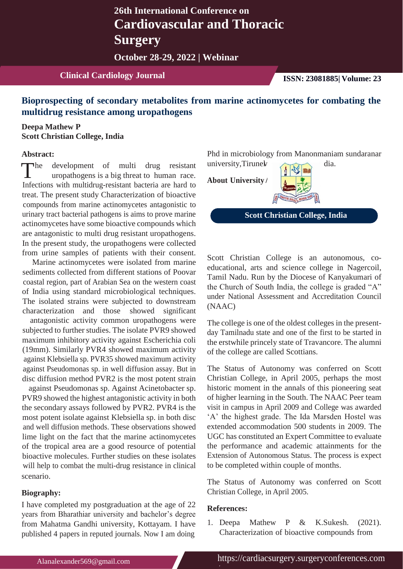# **26th International Conference on Cardiovascular and Thoracic Surgery**

**October 28-29, 2022 | Webinar**

## **Clinical Cardiology Journal ISSN: 23081885| Volume: 23**

## **Bioprospecting of secondary metabolites from marine actinomycetes for combating the multidrug resistance among uropathogens**

### **Deepa Mathew P Scott Christian College, India**

#### **Abstract:**

The development of multi drug resistant university, Tirune with multidrug resistant to human race.<br>Infections with multidrug resistant because are hered to **About University** he development of multi drug resistant Infections with multidrug-resistant bacteria are hard to treat. The present study Characterization of bioactive compounds from marine actinomycetes antagonistic to urinary tract bacterial pathogens is aims to prove marine actinomycetes have some bioactive compounds which are antagonistic to multi drug resistant uropathogens. In the present study, the uropathogens were collected from urine samples of patients with their consent.

Marine actinomycetes were isolated from marine sediments collected from different stations of Poovar coastal region, part of Arabian Sea on the western coast of India using standard microbiological techniques. The isolated strains were subjected to downstream characterization and those showed significant

antagonistic activity common uropathogens were subjected to further studies. The isolate PVR9 showed maximum inhibitory activity against Escherichia coli (19mm). Similarly PVR4 showed maximum activity against Klebsiella sp. PVR35 showed maximum activity against Pseudomonas sp. in well diffusion assay. But in disc diffusion method PVR2 is the most potent strain

against Pseudomonas sp. Against Acinetobacter sp. PVR9 showed the highest antagonistic activity in both the secondary assays followed by PVR2. PVR4 is the most potent isolate against Klebsiella sp. in both disc and well diffusion methods. These observations showed lime light on the fact that the marine actinomycetes of the tropical area are a good resource of potential bioactive molecules. Further studies on these isolates will help to combat the multi-drug resistance in clinical scenario.

#### **Biography:**

I have completed my postgraduation at the age of 22 years from Bharathiar university and bachelor's degree from Mahatma Gandhi university, Kottayam. I have published 4 papers in reputed journals. Now I am doing

Phd in microbiology from Manonmaniam sundaranar university, Tirunel dia.

**About University**



**Scott Christian College, India**

Scott Christian College is an autonomous, coeducational, arts and science college in Nagercoil, Tamil Nadu. Run by the Diocese of Kanyakumari of the Church of South India, the college is graded "A" under National Assessment and Accreditation Council (NAAC)

The college is one of the oldest colleges in the presentday Tamilnadu state and one of the first to be started in the erstwhile princely state of Travancore. The alumni of the college are called Scottians.

The Status of Autonomy was conferred on Scott Christian College, in April 2005, perhaps the most historic moment in the annals of this pioneering seat of higher learning in the South. The NAAC Peer team visit in campus in April 2009 and College was awarded 'A' the highest grade. The Ida Marsden Hostel was extended accommodation 500 students in 2009. The UGC has constituted an Expert Committee to evaluate the performance and academic attainments for the Extension of Autonomous Status. The process is expect to be completed within couple of months.

The Status of Autonomy was conferred on Scott Christian College, in April 2005.

#### **References:**

/

1. Deepa Mathew P & K.Sukesh. (2021). Characterization of bioactive compounds from